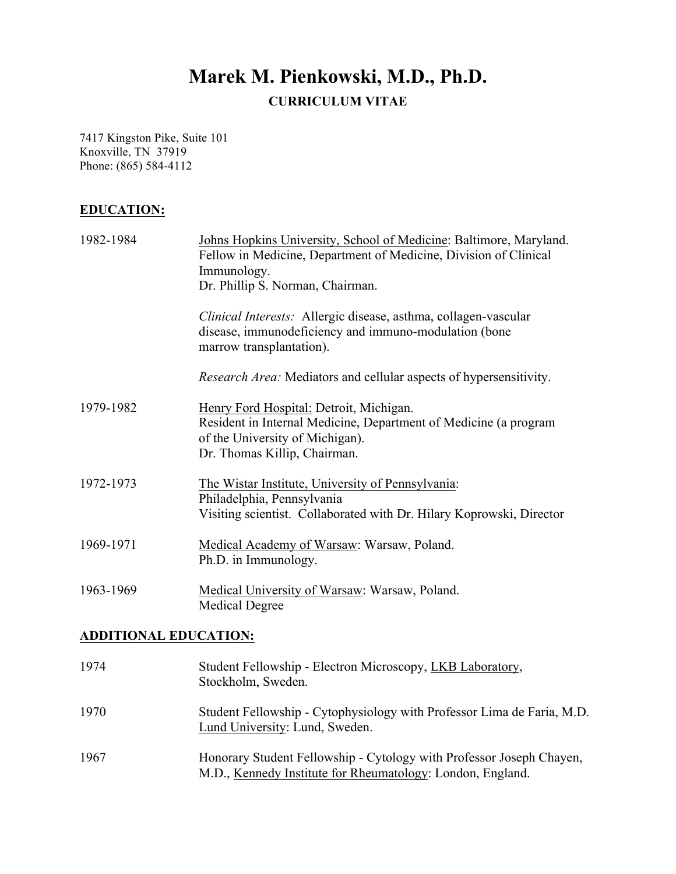# **Marek M. Pienkowski, M.D., Ph.D. CURRICULUM VITAE**

7417 Kingston Pike, Suite 101 Knoxville, TN 37919 Phone: (865) 584-4112

# **EDUCATION:**

| 1982-1984 | Johns Hopkins University, School of Medicine: Baltimore, Maryland.<br>Fellow in Medicine, Department of Medicine, Division of Clinical<br>Immunology.<br>Dr. Phillip S. Norman, Chairman. |
|-----------|-------------------------------------------------------------------------------------------------------------------------------------------------------------------------------------------|
|           | Clinical Interests: Allergic disease, asthma, collagen-vascular<br>disease, immunodeficiency and immuno-modulation (bone<br>marrow transplantation).                                      |
|           | <i>Research Area:</i> Mediators and cellular aspects of hypersensitivity.                                                                                                                 |
| 1979-1982 | Henry Ford Hospital: Detroit, Michigan.<br>Resident in Internal Medicine, Department of Medicine (a program<br>of the University of Michigan).<br>Dr. Thomas Killip, Chairman.            |
| 1972-1973 | The Wistar Institute, University of Pennsylvania:<br>Philadelphia, Pennsylvania<br>Visiting scientist. Collaborated with Dr. Hilary Koprowski, Director                                   |
| 1969-1971 | Medical Academy of Warsaw: Warsaw, Poland.<br>Ph.D. in Immunology.                                                                                                                        |
| 1963-1969 | Medical University of Warsaw: Warsaw, Poland.<br><b>Medical Degree</b>                                                                                                                    |

# **ADDITIONAL EDUCATION:**

| 1974 | Student Fellowship - Electron Microscopy, LKB Laboratory,<br>Stockholm, Sweden.                                                    |
|------|------------------------------------------------------------------------------------------------------------------------------------|
| 1970 | Student Fellowship - Cytophysiology with Professor Lima de Faria, M.D.<br>Lund University: Lund, Sweden.                           |
| 1967 | Honorary Student Fellowship - Cytology with Professor Joseph Chayen,<br>M.D., Kennedy Institute for Rheumatology: London, England. |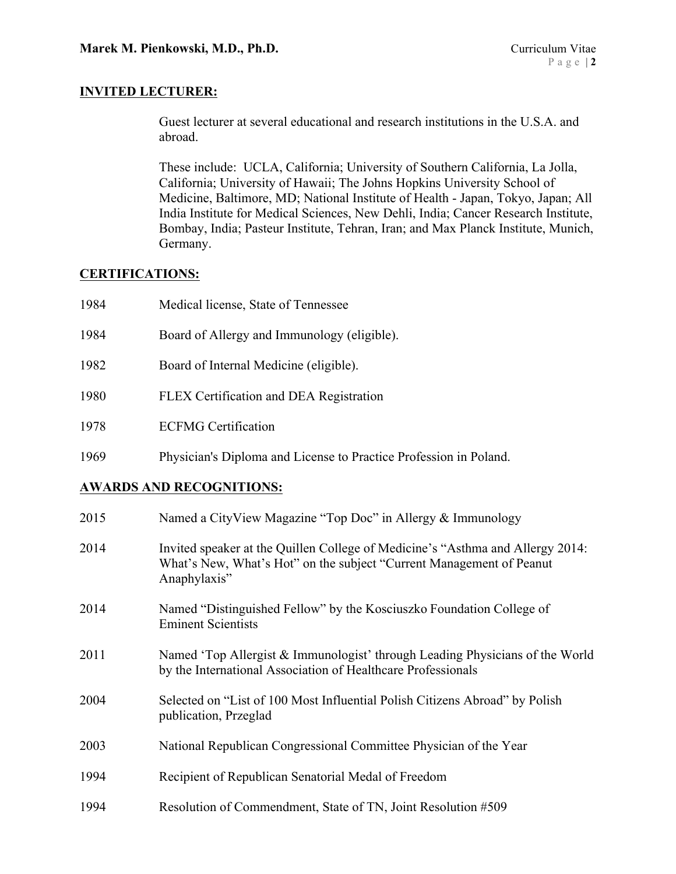### **INVITED LECTURER:**

Guest lecturer at several educational and research institutions in the U.S.A. and abroad.

These include: UCLA, California; University of Southern California, La Jolla, California; University of Hawaii; The Johns Hopkins University School of Medicine, Baltimore, MD; National Institute of Health - Japan, Tokyo, Japan; All India Institute for Medical Sciences, New Dehli, India; Cancer Research Institute, Bombay, India; Pasteur Institute, Tehran, Iran; and Max Planck Institute, Munich, Germany.

### **CERTIFICATIONS:**

| 1984 | Medical license, State of Tennessee                               |
|------|-------------------------------------------------------------------|
| 1984 | Board of Allergy and Immunology (eligible).                       |
| 1982 | Board of Internal Medicine (eligible).                            |
| 1980 | FLEX Certification and DEA Registration                           |
| 1978 | <b>ECFMG</b> Certification                                        |
| 1969 | Physician's Diploma and License to Practice Profession in Poland. |

### **AWARDS AND RECOGNITIONS:**

| 2015 | Named a CityView Magazine "Top Doc" in Allergy & Immunology                                                                                                            |
|------|------------------------------------------------------------------------------------------------------------------------------------------------------------------------|
| 2014 | Invited speaker at the Quillen College of Medicine's "Asthma and Allergy 2014:<br>What's New, What's Hot" on the subject "Current Management of Peanut<br>Anaphylaxis" |
| 2014 | Named "Distinguished Fellow" by the Kosciuszko Foundation College of<br><b>Eminent Scientists</b>                                                                      |
| 2011 | Named 'Top Allergist & Immunologist' through Leading Physicians of the World<br>by the International Association of Healthcare Professionals                           |
| 2004 | Selected on "List of 100 Most Influential Polish Citizens Abroad" by Polish<br>publication, Przeglad                                                                   |
| 2003 | National Republican Congressional Committee Physician of the Year                                                                                                      |
| 1994 | Recipient of Republican Senatorial Medal of Freedom                                                                                                                    |
| 1994 | Resolution of Commendment, State of TN, Joint Resolution #509                                                                                                          |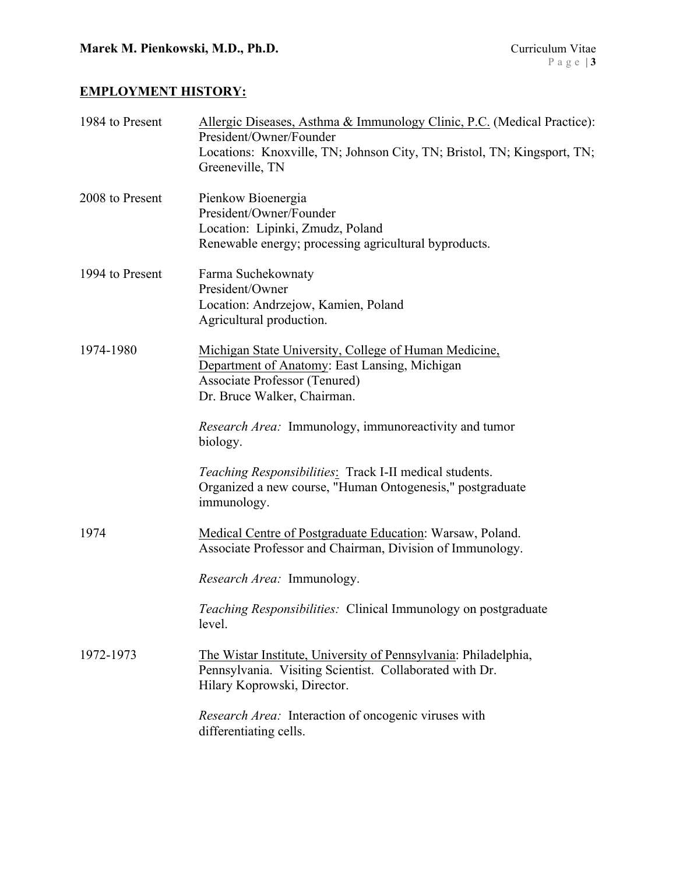# **EMPLOYMENT HISTORY:**

| 1984 to Present | Allergic Diseases, Asthma & Immunology Clinic, P.C. (Medical Practice):<br>President/Owner/Founder<br>Locations: Knoxville, TN; Johnson City, TN; Bristol, TN; Kingsport, TN;<br>Greeneville, TN |
|-----------------|--------------------------------------------------------------------------------------------------------------------------------------------------------------------------------------------------|
| 2008 to Present | Pienkow Bioenergia<br>President/Owner/Founder<br>Location: Lipinki, Zmudz, Poland<br>Renewable energy; processing agricultural byproducts.                                                       |
| 1994 to Present | Farma Suchekownaty<br>President/Owner<br>Location: Andrzejow, Kamien, Poland<br>Agricultural production.                                                                                         |
| 1974-1980       | Michigan State University, College of Human Medicine,<br>Department of Anatomy: East Lansing, Michigan<br>Associate Professor (Tenured)<br>Dr. Bruce Walker, Chairman.                           |
|                 | <i>Research Area:</i> Immunology, immunoreactivity and tumor<br>biology.                                                                                                                         |
|                 | Teaching Responsibilities: Track I-II medical students.<br>Organized a new course, "Human Ontogenesis," postgraduate<br>immunology.                                                              |
| 1974            | Medical Centre of Postgraduate Education: Warsaw, Poland.<br>Associate Professor and Chairman, Division of Immunology.                                                                           |
|                 | Research Area: Immunology.                                                                                                                                                                       |
|                 | Teaching Responsibilities: Clinical Immunology on postgraduate<br>level.                                                                                                                         |
| 1972-1973       | The Wistar Institute, University of Pennsylvania: Philadelphia,<br>Pennsylvania. Visiting Scientist. Collaborated with Dr.<br>Hilary Koprowski, Director.                                        |
|                 | Research Area: Interaction of oncogenic viruses with<br>differentiating cells.                                                                                                                   |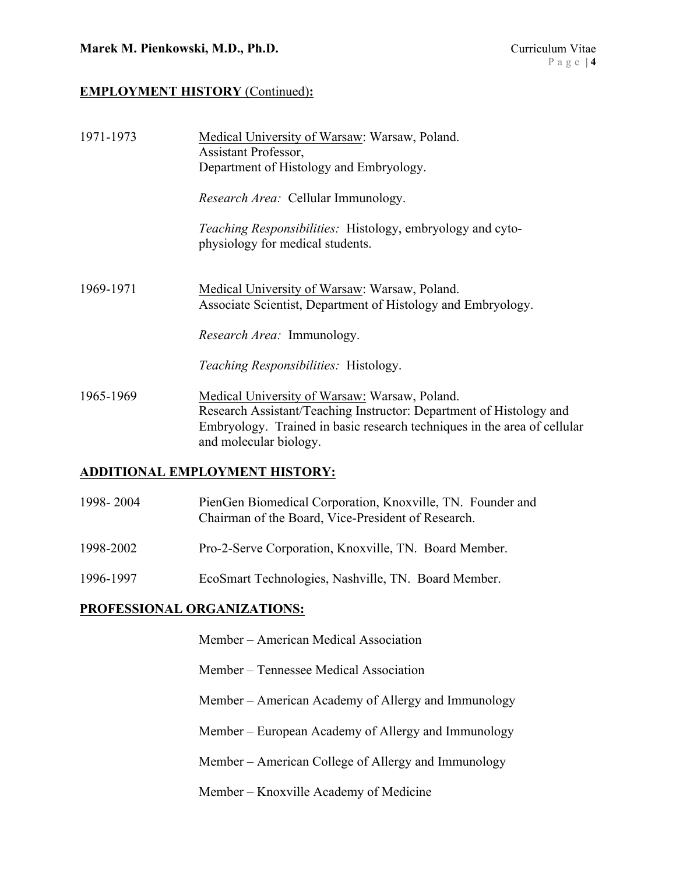### **EMPLOYMENT HISTORY** (Continued)**:**

| 1971-1973 | Medical University of Warsaw: Warsaw, Poland.<br>Assistant Professor,<br>Department of Histology and Embryology.                                                                                                           |
|-----------|----------------------------------------------------------------------------------------------------------------------------------------------------------------------------------------------------------------------------|
|           | Research Area: Cellular Immunology.                                                                                                                                                                                        |
|           | Teaching Responsibilities: Histology, embryology and cyto-<br>physiology for medical students.                                                                                                                             |
| 1969-1971 | Medical University of Warsaw: Warsaw, Poland.<br>Associate Scientist, Department of Histology and Embryology.                                                                                                              |
|           | <i>Research Area:</i> Immunology.                                                                                                                                                                                          |
|           | <i>Teaching Responsibilities:</i> Histology.                                                                                                                                                                               |
| 1965-1969 | Medical University of Warsaw: Warsaw, Poland.<br>Research Assistant/Teaching Instructor: Department of Histology and<br>Embryology. Trained in basic research techniques in the area of cellular<br>and molecular biology. |
|           | <b>ADDITIONAL EMPLOYMENT HISTORY:</b>                                                                                                                                                                                      |
|           |                                                                                                                                                                                                                            |

| 1998-2004 | PienGen Biomedical Corporation, Knoxville, TN. Founder and |
|-----------|------------------------------------------------------------|
|           | Chairman of the Board, Vice-President of Research.         |

- 1998-2002 Pro-2-Serve Corporation, Knoxville, TN. Board Member.
- 1996-1997 EcoSmart Technologies, Nashville, TN. Board Member.

### **PROFESSIONAL ORGANIZATIONS:**

- Member American Medical Association
- Member Tennessee Medical Association
- Member American Academy of Allergy and Immunology
- Member European Academy of Allergy and Immunology
- Member American College of Allergy and Immunology
- Member Knoxville Academy of Medicine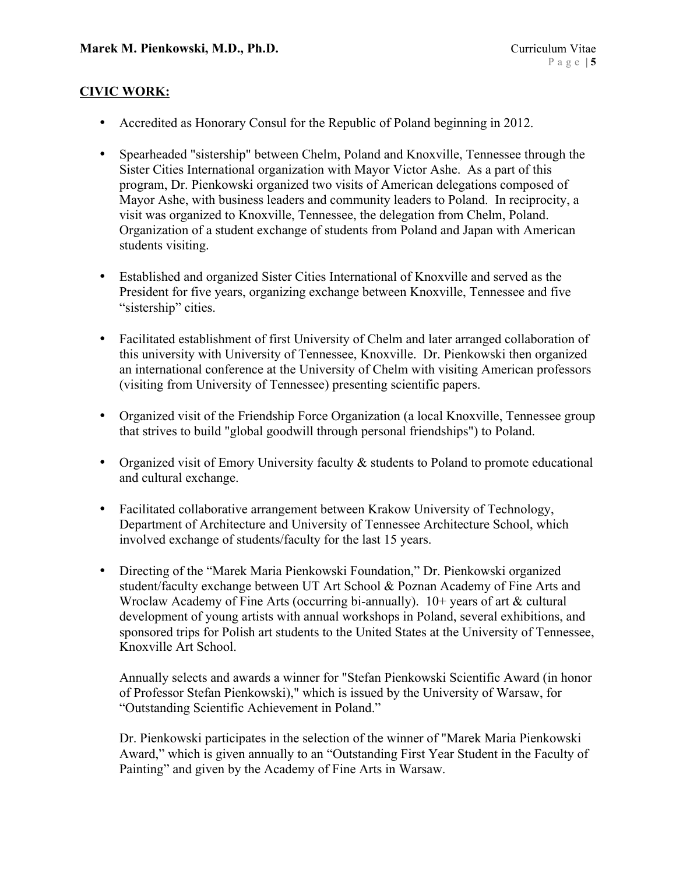### **CIVIC WORK:**

- Accredited as Honorary Consul for the Republic of Poland beginning in 2012.
- Spearheaded "sistership" between Chelm, Poland and Knoxville, Tennessee through the Sister Cities International organization with Mayor Victor Ashe. As a part of this program, Dr. Pienkowski organized two visits of American delegations composed of Mayor Ashe, with business leaders and community leaders to Poland. In reciprocity, a visit was organized to Knoxville, Tennessee, the delegation from Chelm, Poland. Organization of a student exchange of students from Poland and Japan with American students visiting.
- Established and organized Sister Cities International of Knoxville and served as the President for five years, organizing exchange between Knoxville, Tennessee and five "sistership" cities.
- Facilitated establishment of first University of Chelm and later arranged collaboration of this university with University of Tennessee, Knoxville. Dr. Pienkowski then organized an international conference at the University of Chelm with visiting American professors (visiting from University of Tennessee) presenting scientific papers.
- Organized visit of the Friendship Force Organization (a local Knoxville, Tennessee group that strives to build "global goodwill through personal friendships") to Poland.
- Organized visit of Emory University faculty  $\&$  students to Poland to promote educational and cultural exchange.
- Facilitated collaborative arrangement between Krakow University of Technology, Department of Architecture and University of Tennessee Architecture School, which involved exchange of students/faculty for the last 15 years.
- Directing of the "Marek Maria Pienkowski Foundation," Dr. Pienkowski organized student/faculty exchange between UT Art School & Poznan Academy of Fine Arts and Wroclaw Academy of Fine Arts (occurring bi-annually). 10+ years of art & cultural development of young artists with annual workshops in Poland, several exhibitions, and sponsored trips for Polish art students to the United States at the University of Tennessee, Knoxville Art School.

Annually selects and awards a winner for "Stefan Pienkowski Scientific Award (in honor of Professor Stefan Pienkowski)," which is issued by the University of Warsaw, for "Outstanding Scientific Achievement in Poland."

Dr. Pienkowski participates in the selection of the winner of "Marek Maria Pienkowski Award," which is given annually to an "Outstanding First Year Student in the Faculty of Painting" and given by the Academy of Fine Arts in Warsaw.